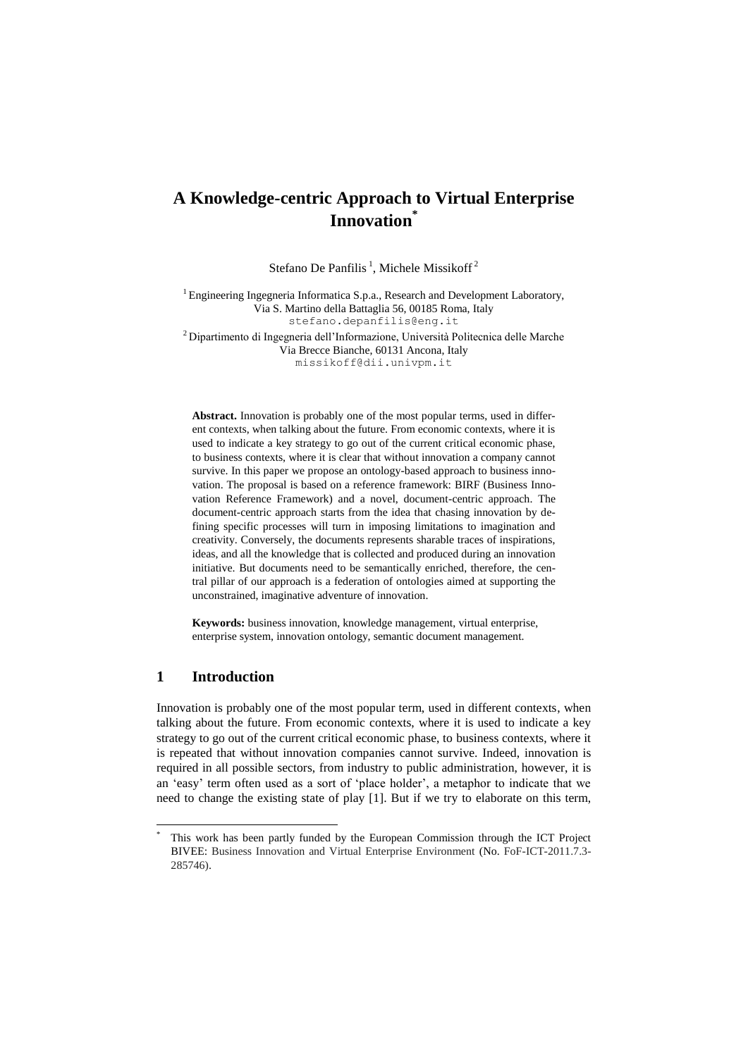# **A Knowledge-centric Approach to Virtual Enterprise Innovation\***

Stefano De Panfilis<sup>1</sup>, Michele Missikoff<sup>2</sup>

<sup>1</sup> Engineering Ingegneria Informatica S.p.a., Research and Development Laboratory, Via S. Martino della Battaglia 56, 00185 Roma, Italy [stefano.depanfilis@eng.it](mailto:stefano.depanfilis@eng.it) <sup>2</sup> Dipartimento di Ingegneria dell'Informazione, Università Politecnica delle Marche

Via Brecce Bianche, 60131 Ancona, Italy missikoff@dii.univpm.it

**Abstract.** Innovation is probably one of the most popular terms, used in different contexts, when talking about the future. From economic contexts, where it is used to indicate a key strategy to go out of the current critical economic phase, to business contexts, where it is clear that without innovation a company cannot survive. In this paper we propose an ontology-based approach to business innovation. The proposal is based on a reference framework: BIRF (Business Innovation Reference Framework) and a novel, document-centric approach. The document-centric approach starts from the idea that chasing innovation by defining specific processes will turn in imposing limitations to imagination and creativity. Conversely, the documents represents sharable traces of inspirations, ideas, and all the knowledge that is collected and produced during an innovation initiative. But documents need to be semantically enriched, therefore, the central pillar of our approach is a federation of ontologies aimed at supporting the unconstrained, imaginative adventure of innovation.

**Keywords:** business innovation, knowledge management, virtual enterprise, enterprise system, innovation ontology, semantic document management.

#### **1 Introduction**

l

Innovation is probably one of the most popular term, used in different contexts, when talking about the future. From economic contexts, where it is used to indicate a key strategy to go out of the current critical economic phase, to business contexts, where it is repeated that without innovation companies cannot survive. Indeed, innovation is required in all possible sectors, from industry to public administration, however, it is an 'easy' term often used as a sort of 'place holder', a metaphor to indicate that we need to change the existing state of play [1]. But if we try to elaborate on this term,

This work has been partly funded by the European Commission through the ICT Project BIVEE: Business Innovation and Virtual Enterprise Environment (No. FoF-ICT-2011.7.3- 285746).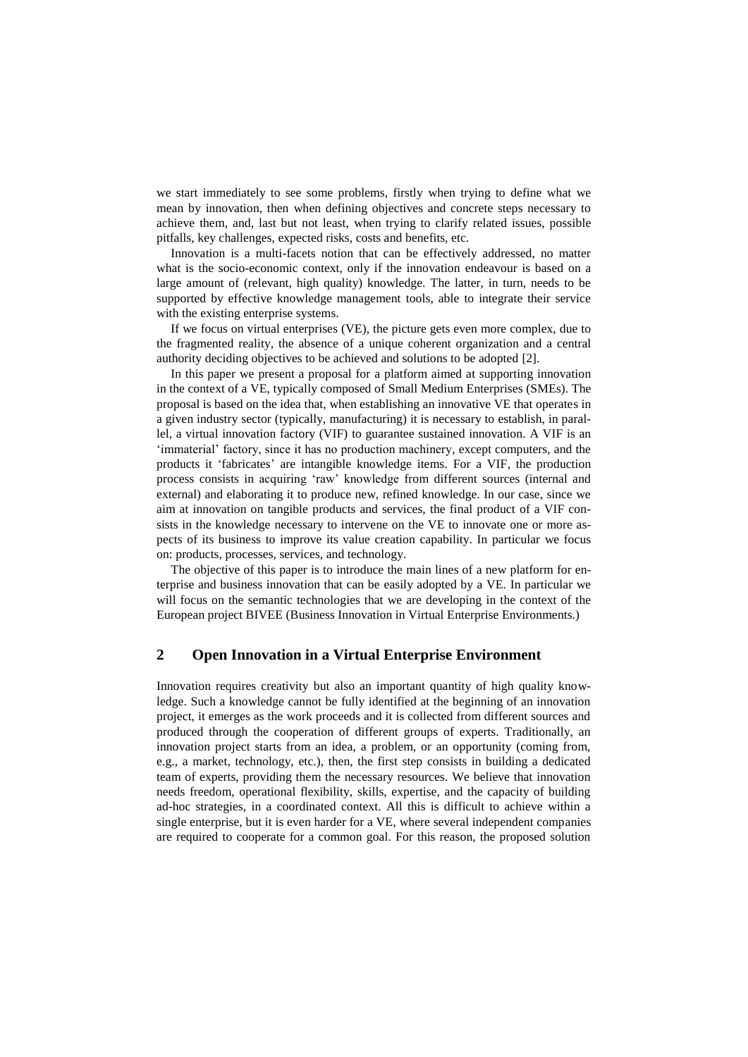we start immediately to see some problems, firstly when trying to define what we mean by innovation, then when defining objectives and concrete steps necessary to achieve them, and, last but not least, when trying to clarify related issues, possible pitfalls, key challenges, expected risks, costs and benefits, etc.

Innovation is a multi-facets notion that can be effectively addressed, no matter what is the socio-economic context, only if the innovation endeavour is based on a large amount of (relevant, high quality) knowledge. The latter, in turn, needs to be supported by effective knowledge management tools, able to integrate their service with the existing enterprise systems.

If we focus on virtual enterprises (VE), the picture gets even more complex, due to the fragmented reality, the absence of a unique coherent organization and a central authority deciding objectives to be achieved and solutions to be adopted [2].

In this paper we present a proposal for a platform aimed at supporting innovation in the context of a VE, typically composed of Small Medium Enterprises (SMEs). The proposal is based on the idea that, when establishing an innovative VE that operates in a given industry sector (typically, manufacturing) it is necessary to establish, in parallel, a virtual innovation factory (VIF) to guarantee sustained innovation. A VIF is an 'immaterial' factory, since it has no production machinery, except computers, and the products it 'fabricates' are intangible knowledge items. For a VIF, the production process consists in acquiring 'raw' knowledge from different sources (internal and external) and elaborating it to produce new, refined knowledge. In our case, since we aim at innovation on tangible products and services, the final product of a VIF consists in the knowledge necessary to intervene on the VE to innovate one or more aspects of its business to improve its value creation capability. In particular we focus on: products, processes, services, and technology.

The objective of this paper is to introduce the main lines of a new platform for enterprise and business innovation that can be easily adopted by a VE. In particular we will focus on the semantic technologies that we are developing in the context of the European project BIVEE (Business Innovation in Virtual Enterprise Environments.)

# **2 Open Innovation in a Virtual Enterprise Environment**

Innovation requires creativity but also an important quantity of high quality knowledge. Such a knowledge cannot be fully identified at the beginning of an innovation project, it emerges as the work proceeds and it is collected from different sources and produced through the cooperation of different groups of experts. Traditionally, an innovation project starts from an idea, a problem, or an opportunity (coming from, e.g., a market, technology, etc.), then, the first step consists in building a dedicated team of experts, providing them the necessary resources. We believe that innovation needs freedom, operational flexibility, skills, expertise, and the capacity of building ad-hoc strategies, in a coordinated context. All this is difficult to achieve within a single enterprise, but it is even harder for a VE, where several independent companies are required to cooperate for a common goal. For this reason, the proposed solution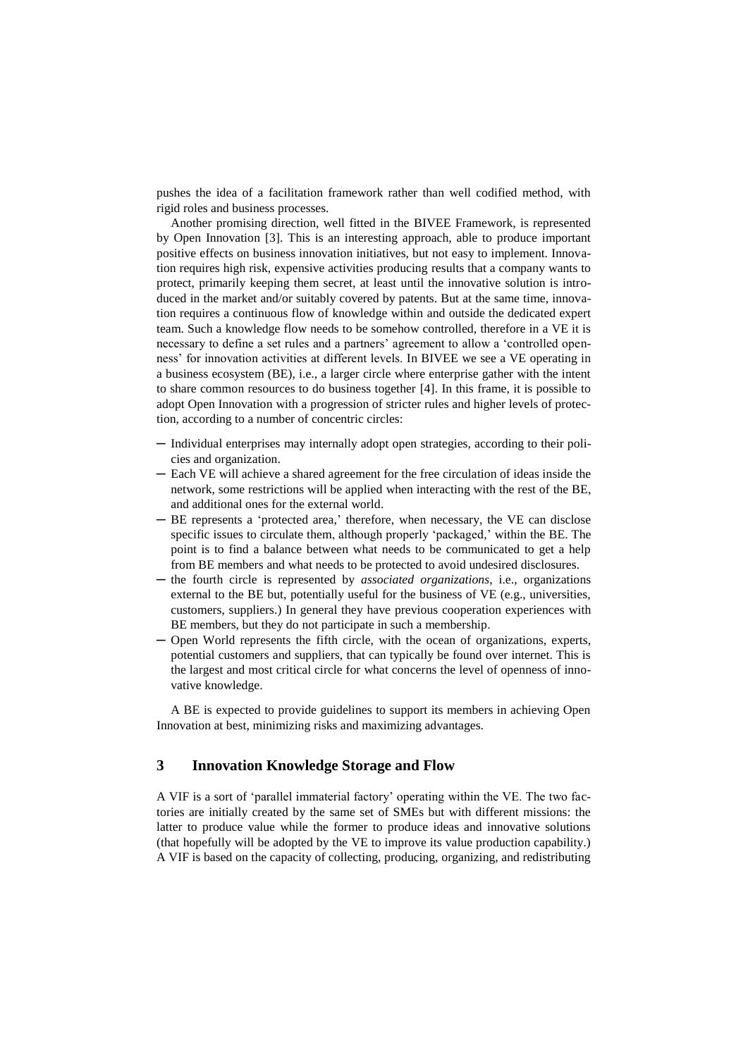pushes the idea of a facilitation framework rather than well codified method, with rigid roles and business processes.

Another promising direction, well fitted in the BIVEE Framework, is represented by Open Innovation [3]. This is an interesting approach, able to produce important positive effects on business innovation initiatives, but not easy to implement. Innovation requires high risk, expensive activities producing results that a company wants to protect, primarily keeping them secret, at least until the innovative solution is introduced in the market and/or suitably covered by patents. But at the same time, innovation requires a continuous flow of knowledge within and outside the dedicated expert team. Such a knowledge flow needs to be somehow controlled, therefore in a VE it is necessary to define a set rules and a partners' agreement to allow a 'controlled openness' for innovation activities at different levels. In BIVEE we see a VE operating in a business ecosystem (BE), i.e., a larger circle where enterprise gather with the intent to share common resources to do business together [4]. In this frame, it is possible to adopt Open Innovation with a progression of stricter rules and higher levels of protection, according to a number of concentric circles:

- ─ Individual enterprises may internally adopt open strategies, according to their policies and organization.
- ─ Each VE will achieve a shared agreement for the free circulation of ideas inside the network, some restrictions will be applied when interacting with the rest of the BE, and additional ones for the external world.
- ─ BE represents a 'protected area,' therefore, when necessary, the VE can disclose specific issues to circulate them, although properly 'packaged,' within the BE. The point is to find a balance between what needs to be communicated to get a help from BE members and what needs to be protected to avoid undesired disclosures.
- ─ the fourth circle is represented by *associated organizations*, i.e., organizations external to the BE but, potentially useful for the business of VE (e.g., universities, customers, suppliers.) In general they have previous cooperation experiences with BE members, but they do not participate in such a membership.
- ─ Open World represents the fifth circle, with the ocean of organizations, experts, potential customers and suppliers, that can typically be found over internet. This is the largest and most critical circle for what concerns the level of openness of innovative knowledge.

A BE is expected to provide guidelines to support its members in achieving Open Innovation at best, minimizing risks and maximizing advantages.

#### **3 Innovation Knowledge Storage and Flow**

A VIF is a sort of 'parallel immaterial factory' operating within the VE. The two factories are initially created by the same set of SMEs but with different missions: the latter to produce value while the former to produce ideas and innovative solutions (that hopefully will be adopted by the VE to improve its value production capability.) A VIF is based on the capacity of collecting, producing, organizing, and redistributing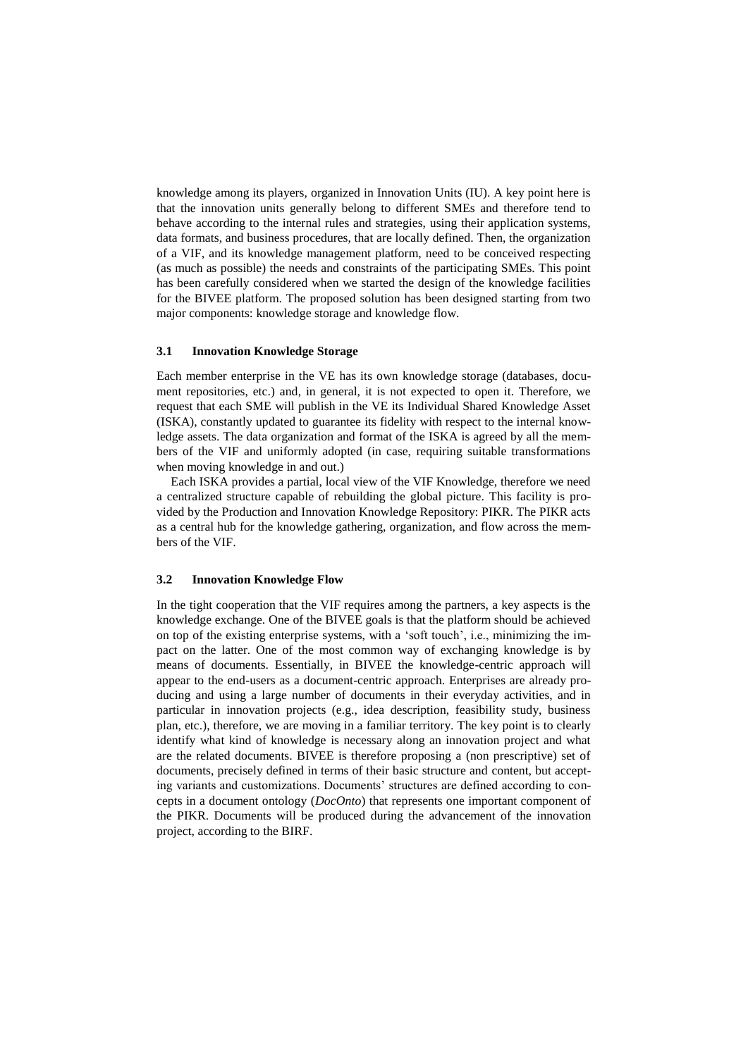knowledge among its players, organized in Innovation Units (IU). A key point here is that the innovation units generally belong to different SMEs and therefore tend to behave according to the internal rules and strategies, using their application systems, data formats, and business procedures, that are locally defined. Then, the organization of a VIF, and its knowledge management platform, need to be conceived respecting (as much as possible) the needs and constraints of the participating SMEs. This point has been carefully considered when we started the design of the knowledge facilities for the BIVEE platform. The proposed solution has been designed starting from two major components: knowledge storage and knowledge flow.

#### **3.1 Innovation Knowledge Storage**

Each member enterprise in the VE has its own knowledge storage (databases, document repositories, etc.) and, in general, it is not expected to open it. Therefore, we request that each SME will publish in the VE its Individual Shared Knowledge Asset (ISKA), constantly updated to guarantee its fidelity with respect to the internal knowledge assets. The data organization and format of the ISKA is agreed by all the members of the VIF and uniformly adopted (in case, requiring suitable transformations when moving knowledge in and out.)

Each ISKA provides a partial, local view of the VIF Knowledge, therefore we need a centralized structure capable of rebuilding the global picture. This facility is provided by the Production and Innovation Knowledge Repository: PIKR. The PIKR acts as a central hub for the knowledge gathering, organization, and flow across the members of the VIF.

#### **3.2 Innovation Knowledge Flow**

In the tight cooperation that the VIF requires among the partners, a key aspects is the knowledge exchange. One of the BIVEE goals is that the platform should be achieved on top of the existing enterprise systems, with a 'soft touch', i.e., minimizing the impact on the latter. One of the most common way of exchanging knowledge is by means of documents. Essentially, in BIVEE the knowledge-centric approach will appear to the end-users as a document-centric approach. Enterprises are already producing and using a large number of documents in their everyday activities, and in particular in innovation projects (e.g., idea description, feasibility study, business plan, etc.), therefore, we are moving in a familiar territory. The key point is to clearly identify what kind of knowledge is necessary along an innovation project and what are the related documents. BIVEE is therefore proposing a (non prescriptive) set of documents, precisely defined in terms of their basic structure and content, but accepting variants and customizations. Documents' structures are defined according to concepts in a document ontology (*DocOnto*) that represents one important component of the PIKR. Documents will be produced during the advancement of the innovation project, according to the BIRF.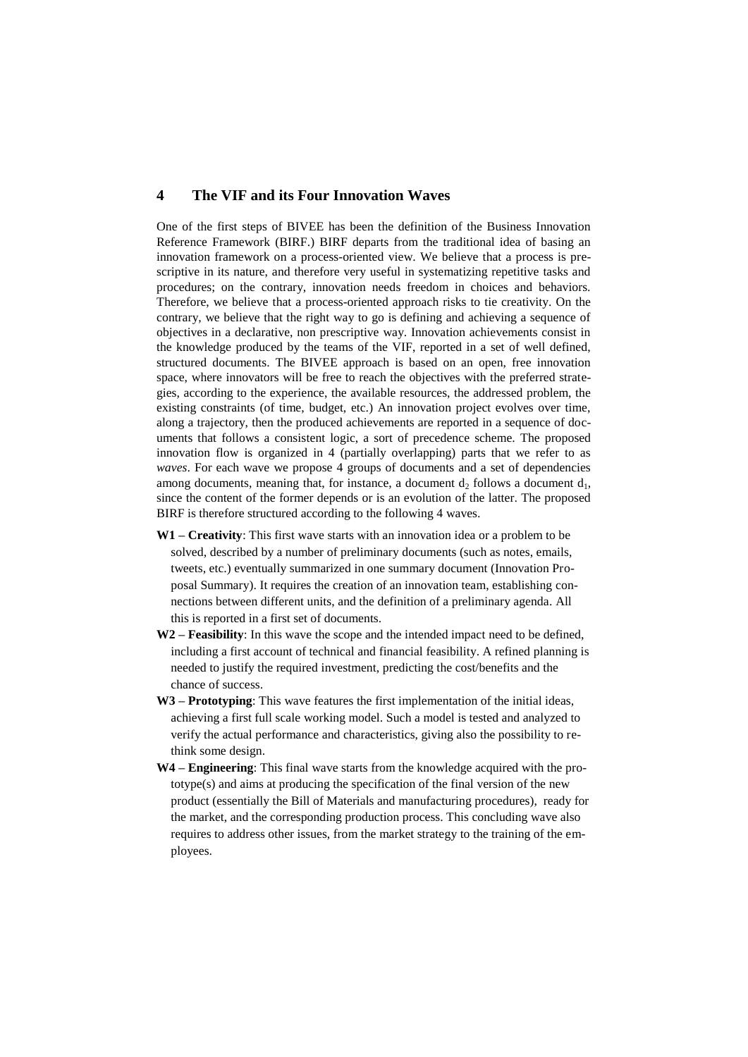### **4 The VIF and its Four Innovation Waves**

One of the first steps of BIVEE has been the definition of the Business Innovation Reference Framework (BIRF.) BIRF departs from the traditional idea of basing an innovation framework on a process-oriented view. We believe that a process is prescriptive in its nature, and therefore very useful in systematizing repetitive tasks and procedures; on the contrary, innovation needs freedom in choices and behaviors. Therefore, we believe that a process-oriented approach risks to tie creativity. On the contrary, we believe that the right way to go is defining and achieving a sequence of objectives in a declarative, non prescriptive way. Innovation achievements consist in the knowledge produced by the teams of the VIF, reported in a set of well defined, structured documents. The BIVEE approach is based on an open, free innovation space, where innovators will be free to reach the objectives with the preferred strategies, according to the experience, the available resources, the addressed problem, the existing constraints (of time, budget, etc.) An innovation project evolves over time, along a trajectory, then the produced achievements are reported in a sequence of documents that follows a consistent logic, a sort of precedence scheme. The proposed innovation flow is organized in 4 (partially overlapping) parts that we refer to as *waves*. For each wave we propose 4 groups of documents and a set of dependencies among documents, meaning that, for instance, a document  $d_2$  follows a document  $d_1$ , since the content of the former depends or is an evolution of the latter. The proposed BIRF is therefore structured according to the following 4 waves.

- **W1 – Creativity**: This first wave starts with an innovation idea or a problem to be solved, described by a number of preliminary documents (such as notes, emails, tweets, etc.) eventually summarized in one summary document (Innovation Proposal Summary). It requires the creation of an innovation team, establishing connections between different units, and the definition of a preliminary agenda. All this is reported in a first set of documents.
- **W2 – Feasibility**: In this wave the scope and the intended impact need to be defined, including a first account of technical and financial feasibility. A refined planning is needed to justify the required investment, predicting the cost/benefits and the chance of success.
- **W3 – Prototyping**: This wave features the first implementation of the initial ideas, achieving a first full scale working model. Such a model is tested and analyzed to verify the actual performance and characteristics, giving also the possibility to rethink some design.
- **W4 – Engineering**: This final wave starts from the knowledge acquired with the prototype(s) and aims at producing the specification of the final version of the new product (essentially the Bill of Materials and manufacturing procedures), ready for the market, and the corresponding production process. This concluding wave also requires to address other issues, from the market strategy to the training of the employees.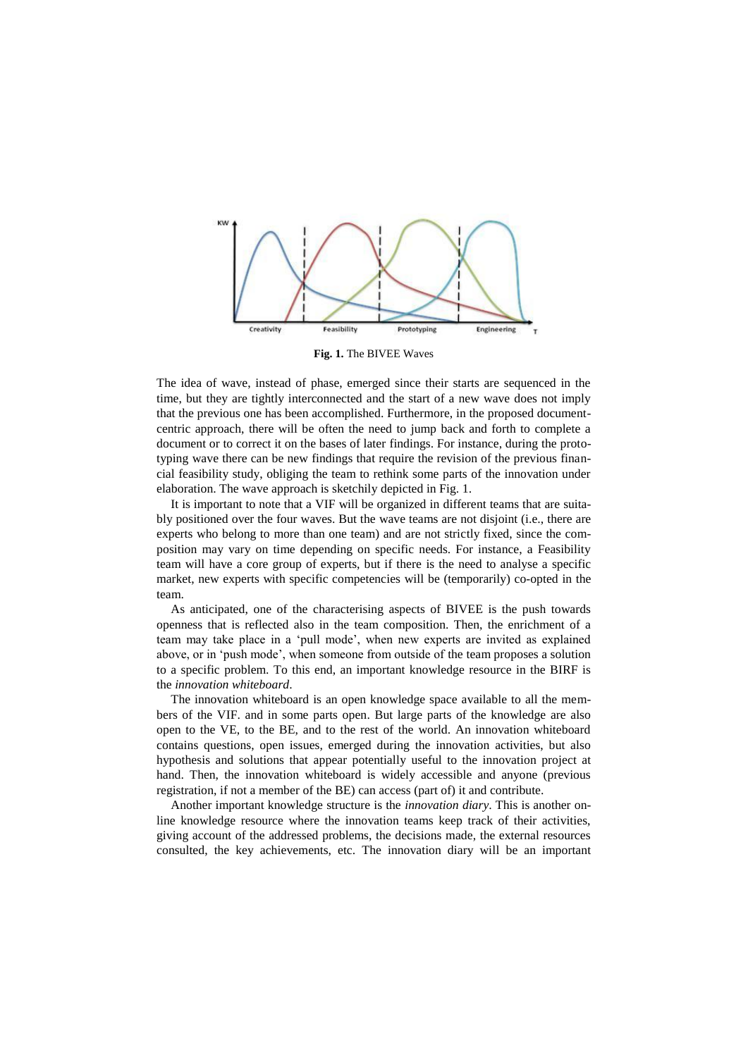

**Fig. 1.** The BIVEE Waves

The idea of wave, instead of phase, emerged since their starts are sequenced in the time, but they are tightly interconnected and the start of a new wave does not imply that the previous one has been accomplished. Furthermore, in the proposed documentcentric approach, there will be often the need to jump back and forth to complete a document or to correct it on the bases of later findings. For instance, during the prototyping wave there can be new findings that require the revision of the previous financial feasibility study, obliging the team to rethink some parts of the innovation under elaboration. The wave approach is sketchily depicted in Fig. 1.

It is important to note that a VIF will be organized in different teams that are suitably positioned over the four waves. But the wave teams are not disjoint (i.e., there are experts who belong to more than one team) and are not strictly fixed, since the composition may vary on time depending on specific needs. For instance, a Feasibility team will have a core group of experts, but if there is the need to analyse a specific market, new experts with specific competencies will be (temporarily) co-opted in the team.

As anticipated, one of the characterising aspects of BIVEE is the push towards openness that is reflected also in the team composition. Then, the enrichment of a team may take place in a 'pull mode', when new experts are invited as explained above, or in 'push mode', when someone from outside of the team proposes a solution to a specific problem. To this end, an important knowledge resource in the BIRF is the *innovation whiteboard*.

The innovation whiteboard is an open knowledge space available to all the members of the VIF. and in some parts open. But large parts of the knowledge are also open to the VE, to the BE, and to the rest of the world. An innovation whiteboard contains questions, open issues, emerged during the innovation activities, but also hypothesis and solutions that appear potentially useful to the innovation project at hand. Then, the innovation whiteboard is widely accessible and anyone (previous registration, if not a member of the BE) can access (part of) it and contribute.

Another important knowledge structure is the *innovation diary*. This is another online knowledge resource where the innovation teams keep track of their activities, giving account of the addressed problems, the decisions made, the external resources consulted, the key achievements, etc. The innovation diary will be an important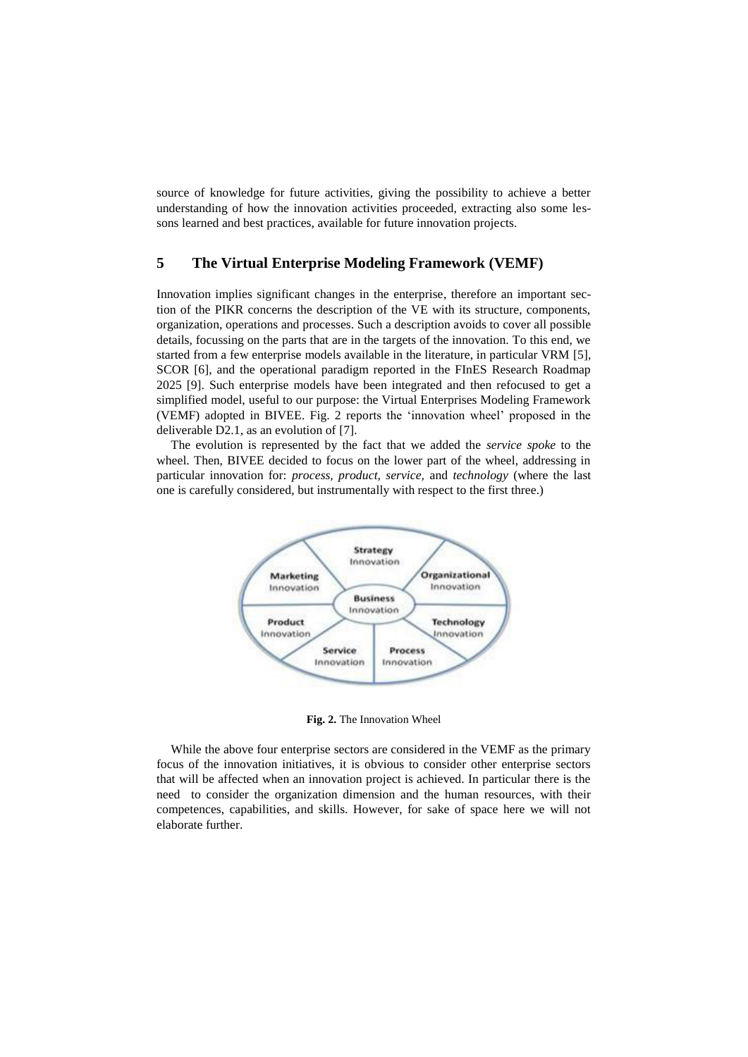source of knowledge for future activities, giving the possibility to achieve a better understanding of how the innovation activities proceeded, extracting also some lessons learned and best practices, available for future innovation projects.

# **5 The Virtual Enterprise Modeling Framework (VEMF)**

Innovation implies significant changes in the enterprise, therefore an important section of the PIKR concerns the description of the VE with its structure, components, organization, operations and processes. Such a description avoids to cover all possible details, focussing on the parts that are in the targets of the innovation. To this end, we started from a few enterprise models available in the literature, in particular VRM [5], SCOR [6], and the operational paradigm reported in the FInES Research Roadmap 2025 [9]. Such enterprise models have been integrated and then refocused to get a simplified model, useful to our purpose: the Virtual Enterprises Modeling Framework (VEMF) adopted in BIVEE. Fig. 2 reports the 'innovation wheel' proposed in the deliverable D2.1, as an evolution of [7].

The evolution is represented by the fact that we added the *service spoke* to the wheel. Then, BIVEE decided to focus on the lower part of the wheel, addressing in particular innovation for: *process, product, service,* and *technology* (where the last one is carefully considered, but instrumentally with respect to the first three.)



**Fig. 2.** The Innovation Wheel

While the above four enterprise sectors are considered in the VEMF as the primary focus of the innovation initiatives, it is obvious to consider other enterprise sectors that will be affected when an innovation project is achieved. In particular there is the need to consider the organization dimension and the human resources, with their competences, capabilities, and skills. However, for sake of space here we will not elaborate further.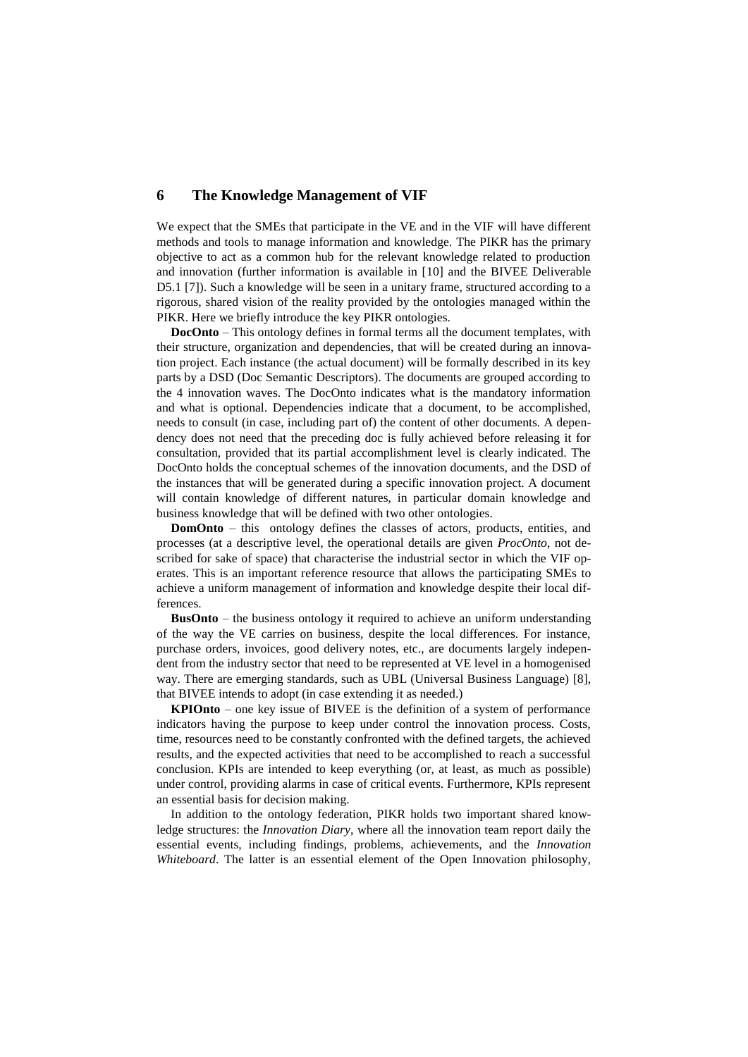## **6 The Knowledge Management of VIF**

We expect that the SMEs that participate in the VE and in the VIF will have different methods and tools to manage information and knowledge. The PIKR has the primary objective to act as a common hub for the relevant knowledge related to production and innovation (further information is available in [10] and the BIVEE Deliverable D5.1 [7]). Such a knowledge will be seen in a unitary frame, structured according to a rigorous, shared vision of the reality provided by the ontologies managed within the PIKR. Here we briefly introduce the key PIKR ontologies.

**DocOnto** – This ontology defines in formal terms all the document templates, with their structure, organization and dependencies, that will be created during an innovation project. Each instance (the actual document) will be formally described in its key parts by a DSD (Doc Semantic Descriptors). The documents are grouped according to the 4 innovation waves. The DocOnto indicates what is the mandatory information and what is optional. Dependencies indicate that a document, to be accomplished, needs to consult (in case, including part of) the content of other documents. A dependency does not need that the preceding doc is fully achieved before releasing it for consultation, provided that its partial accomplishment level is clearly indicated. The DocOnto holds the conceptual schemes of the innovation documents, and the DSD of the instances that will be generated during a specific innovation project. A document will contain knowledge of different natures, in particular domain knowledge and business knowledge that will be defined with two other ontologies.

**DomOnto** – this ontology defines the classes of actors, products, entities, and processes (at a descriptive level, the operational details are given *ProcOnto*, not described for sake of space) that characterise the industrial sector in which the VIF operates. This is an important reference resource that allows the participating SMEs to achieve a uniform management of information and knowledge despite their local differences.

**BusOnto** – the business ontology it required to achieve an uniform understanding of the way the VE carries on business, despite the local differences. For instance, purchase orders, invoices, good delivery notes, etc., are documents largely independent from the industry sector that need to be represented at VE level in a homogenised way. There are emerging standards, such as UBL (Universal Business Language) [8], that BIVEE intends to adopt (in case extending it as needed.)

**KPIOnto** – one key issue of BIVEE is the definition of a system of performance indicators having the purpose to keep under control the innovation process. Costs, time, resources need to be constantly confronted with the defined targets, the achieved results, and the expected activities that need to be accomplished to reach a successful conclusion. KPIs are intended to keep everything (or, at least, as much as possible) under control, providing alarms in case of critical events. Furthermore, KPIs represent an essential basis for decision making.

In addition to the ontology federation, PIKR holds two important shared knowledge structures: the *Innovation Diary*, where all the innovation team report daily the essential events, including findings, problems, achievements, and the *Innovation Whiteboard*. The latter is an essential element of the Open Innovation philosophy,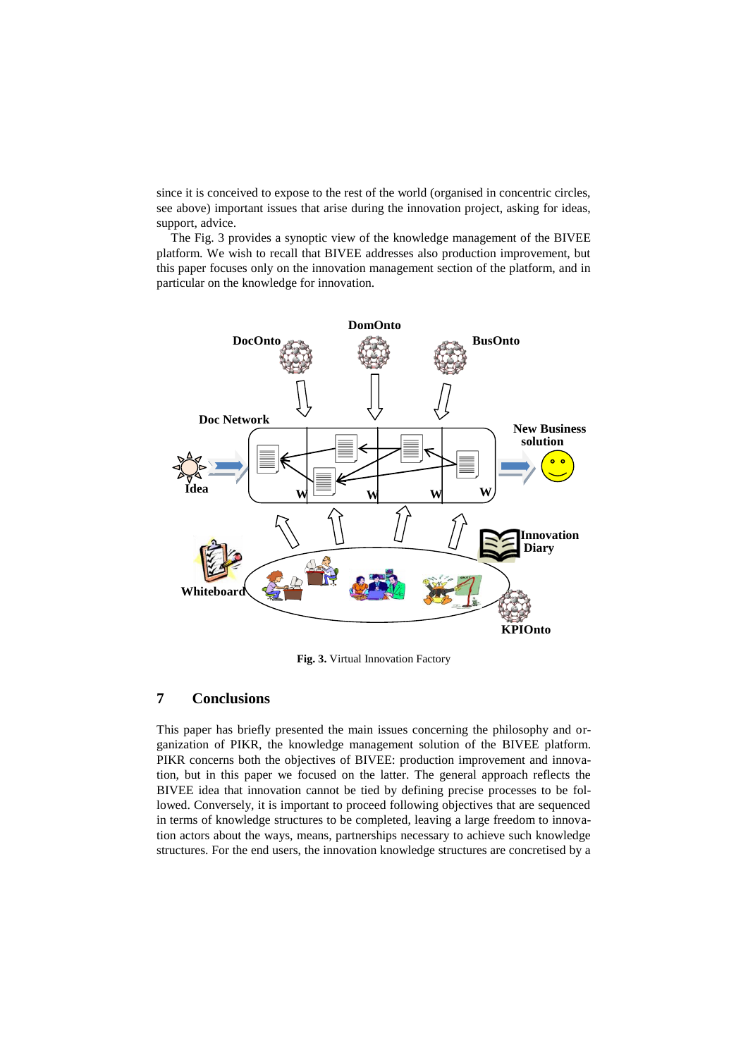since it is conceived to expose to the rest of the world (organised in concentric circles, see above) important issues that arise during the innovation project, asking for ideas, support, advice.

The Fig. 3 provides a synoptic view of the knowledge management of the BIVEE platform. We wish to recall that BIVEE addresses also production improvement, but this paper focuses only on the innovation management section of the platform, and in particular on the knowledge for innovation.



**Fig. 3.** Virtual Innovation Factory

## **7 Conclusions**

This paper has briefly presented the main issues concerning the philosophy and organization of PIKR, the knowledge management solution of the BIVEE platform. PIKR concerns both the objectives of BIVEE: production improvement and innovation, but in this paper we focused on the latter. The general approach reflects the BIVEE idea that innovation cannot be tied by defining precise processes to be followed. Conversely, it is important to proceed following objectives that are sequenced in terms of knowledge structures to be completed, leaving a large freedom to innovation actors about the ways, means, partnerships necessary to achieve such knowledge structures. For the end users, the innovation knowledge structures are concretised by a